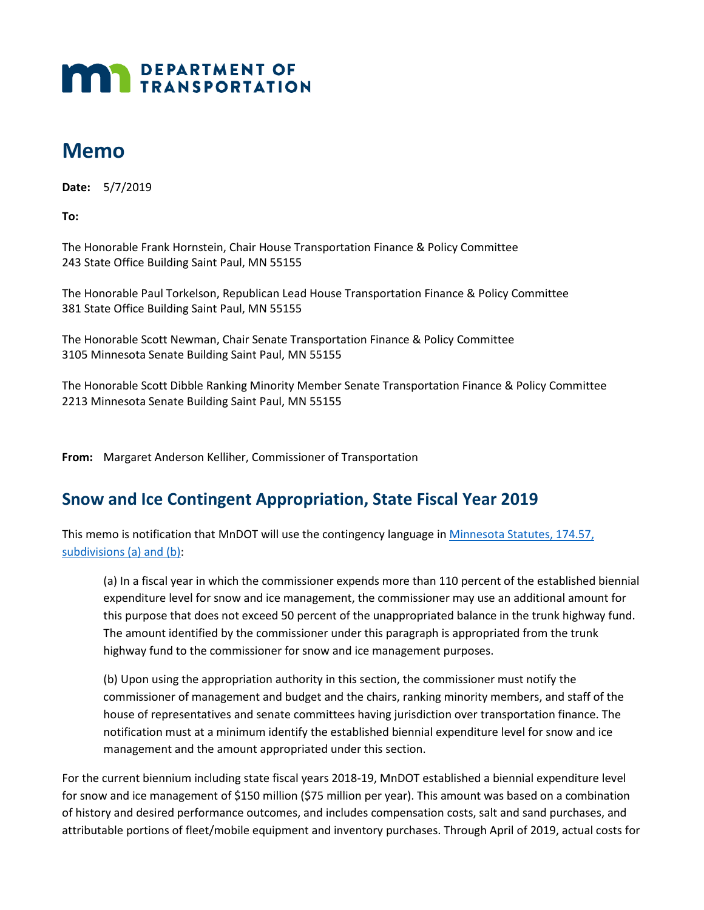## **MAN** DEPARTMENT OF

## **Memo**

 **Date:** 5/7/2019

**To:** 

 The Honorable Frank Hornstein, Chair House Transportation Finance & Policy Committee 243 State Office Building Saint Paul, MN 55155

 The Honorable Paul Torkelson, Republican Lead House Transportation Finance & Policy Committee 381 State Office Building Saint Paul, MN 55155

 3105 Minnesota Senate Building Saint Paul, MN 55155 The Honorable Scott Newman, Chair Senate Transportation Finance & Policy Committee

 The Honorable Scott Dibble Ranking Minority Member Senate Transportation Finance & Policy Committee 2213 Minnesota Senate Building Saint Paul, MN 55155

**From:** Margaret Anderson Kelliher, Commissioner of Transportation

## **Snow and Ice Contingent Appropriation, State Fiscal Year 2019**

This memo is notification that MnDOT will use the contingency language in [Minnesota Statutes, 174.57,](https://www.revisor.mn.gov/statutes/cite/174.57)  [subdivisions \(a\) and \(b\):](https://www.revisor.mn.gov/statutes/cite/174.57)

 (a) In a fiscal year in which the commissioner expends more than 110 percent of the established biennial this purpose that does not exceed 50 percent of the unappropriated balance in the trunk highway fund. expenditure level for snow and ice management, the commissioner may use an additional amount for The amount identified by the commissioner under this paragraph is appropriated from the trunk highway fund to the commissioner for snow and ice management purposes.

 commissioner of management and budget and the chairs, ranking minority members, and staff of the management and the amount appropriated under this section. (b) Upon using the appropriation authority in this section, the commissioner must notify the house of representatives and senate committees having jurisdiction over transportation finance. The notification must at a minimum identify the established biennial expenditure level for snow and ice

 For the current biennium including state fiscal years 2018-19, MnDOT established a biennial expenditure level for snow and ice management of \$150 million (\$75 million per year). This amount was based on a combination of history and desired performance outcomes, and includes compensation costs, salt and sand purchases, and attributable portions of fleet/mobile equipment and inventory purchases. Through April of 2019, actual costs for